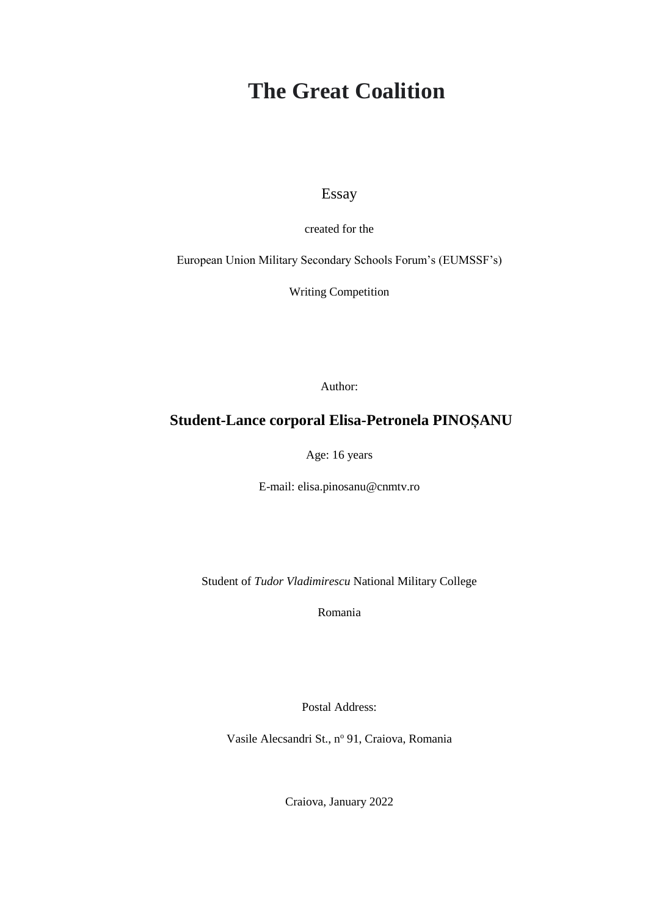# **The Great Coalition**

Essay

created for the

European Union Military Secondary Schools Forum's (EUMSSF's)

Writing Competition

Author:

#### **Student-Lance corporal Elisa-Petronela PINOȘANU**

Age: 16 years

E-mail: elisa.pinosanu@cnmtv.ro

Student of *Tudor Vladimirescu* National Military College

Romania

Postal Address:

Vasile Alecsandri St., nº 91, Craiova, Romania

Craiova, January 2022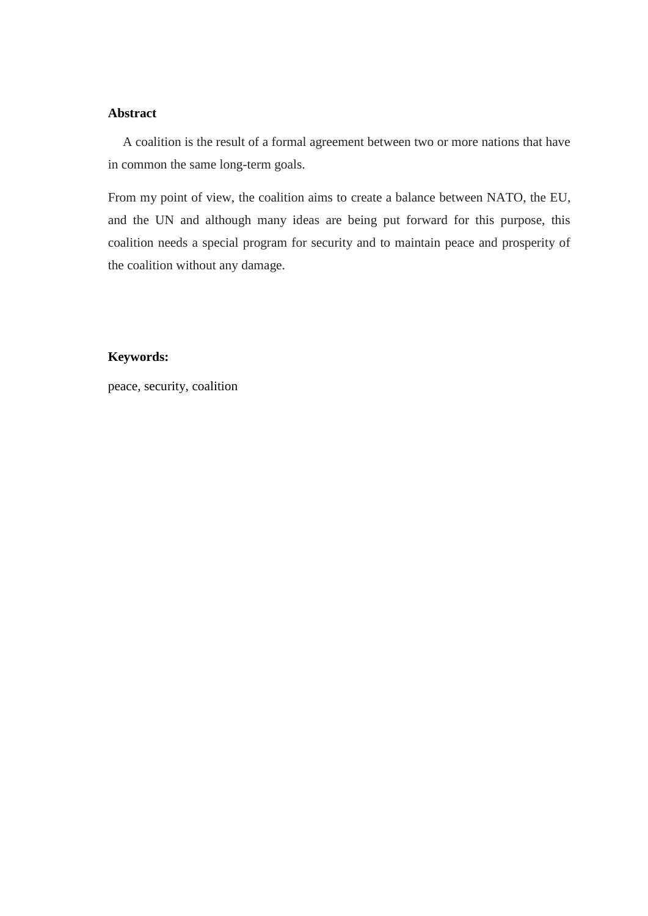#### **Abstract**

A coalition is the result of a formal agreement between two or more nations that have in common the same long-term goals.

From my point of view, the coalition aims to create a balance between NATO, the EU, and the UN and although many ideas are being put forward for this purpose, this coalition needs a special program for security and to maintain peace and prosperity of the coalition without any damage.

#### **Keywords:**

peace, security, coalition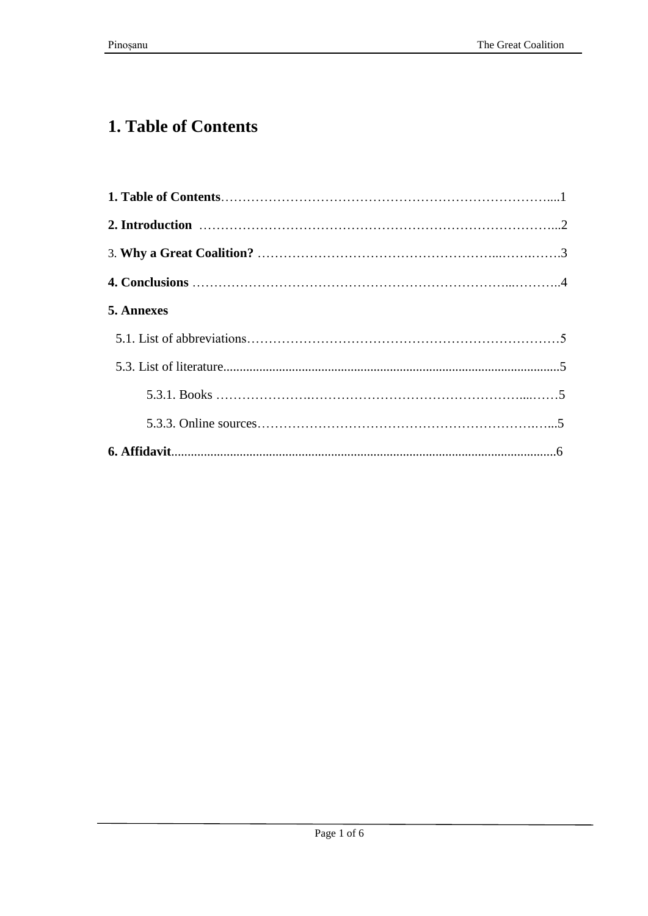## **1. Table of Contents**

| 5. Annexes |  |
|------------|--|
|            |  |
|            |  |
|            |  |
|            |  |
|            |  |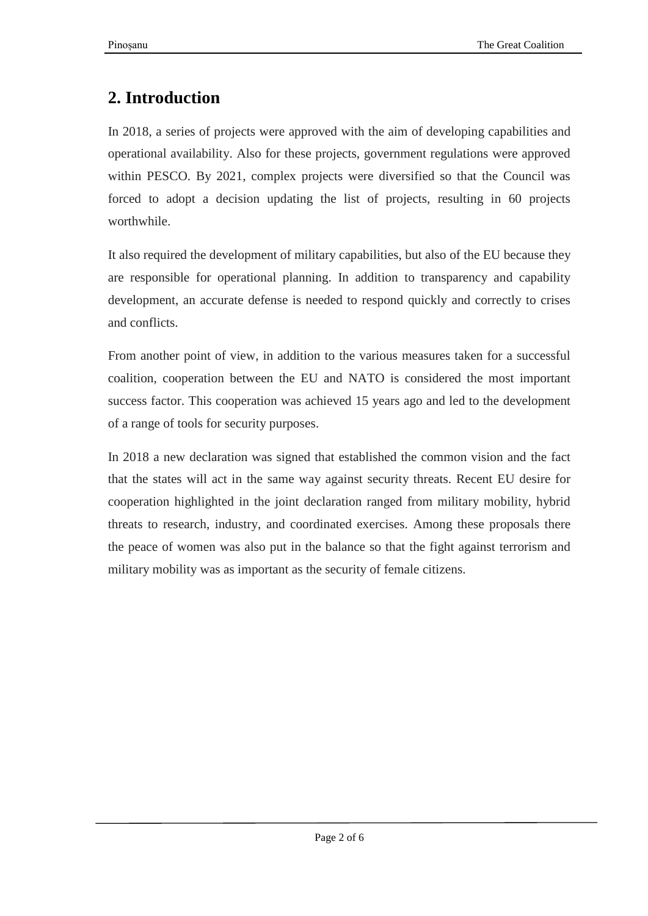## **2. Introduction**

In 2018, a series of projects were approved with the aim of developing capabilities and operational availability. Also for these projects, government regulations were approved within PESCO. By 2021, complex projects were diversified so that the Council was forced to adopt a decision updating the list of projects, resulting in 60 projects worthwhile.

It also required the development of military capabilities, but also of the EU because they are responsible for operational planning. In addition to transparency and capability development, an accurate defense is needed to respond quickly and correctly to crises and conflicts.

From another point of view, in addition to the various measures taken for a successful coalition, cooperation between the EU and NATO is considered the most important success factor. This cooperation was achieved 15 years ago and led to the development of a range of tools for security purposes.

In 2018 a new declaration was signed that established the common vision and the fact that the states will act in the same way against security threats. Recent EU desire for cooperation highlighted in the joint declaration ranged from military mobility, hybrid threats to research, industry, and coordinated exercises. Among these proposals there the peace of women was also put in the balance so that the fight against terrorism and military mobility was as important as the security of female citizens.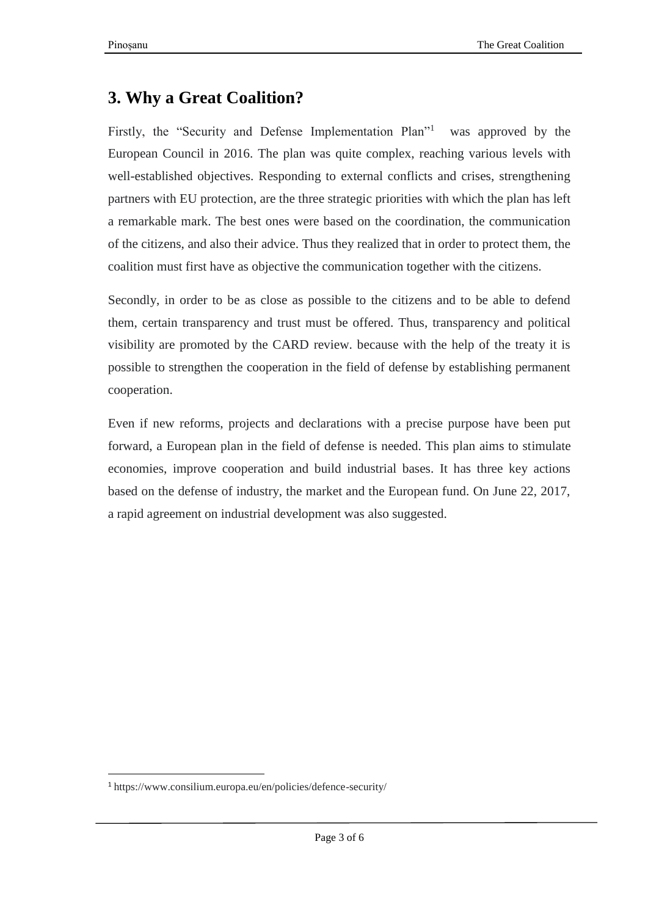## **3. Why a Great Coalition?**

Firstly, the "Security and Defense Implementation Plan"<sup>1</sup> was approved by the European Council in 2016. The plan was quite complex, reaching various levels with well-established objectives. Responding to external conflicts and crises, strengthening partners with EU protection, are the three strategic priorities with which the plan has left a remarkable mark. The best ones were based on the coordination, the communication of the citizens, and also their advice. Thus they realized that in order to protect them, the coalition must first have as objective the communication together with the citizens.

Secondly, in order to be as close as possible to the citizens and to be able to defend them, certain transparency and trust must be offered. Thus, transparency and political visibility are promoted by the CARD review. because with the help of the treaty it is possible to strengthen the cooperation in the field of defense by establishing permanent cooperation.

Even if new reforms, projects and declarations with a precise purpose have been put forward, a European plan in the field of defense is needed. This plan aims to stimulate economies, improve cooperation and build industrial bases. It has three key actions based on the defense of industry, the market and the European fund. On June 22, 2017, a rapid agreement on industrial development was also suggested.

 $\ddot{\phantom{a}}$ 

<sup>1</sup> https://www.consilium.europa.eu/en/policies/defence-security/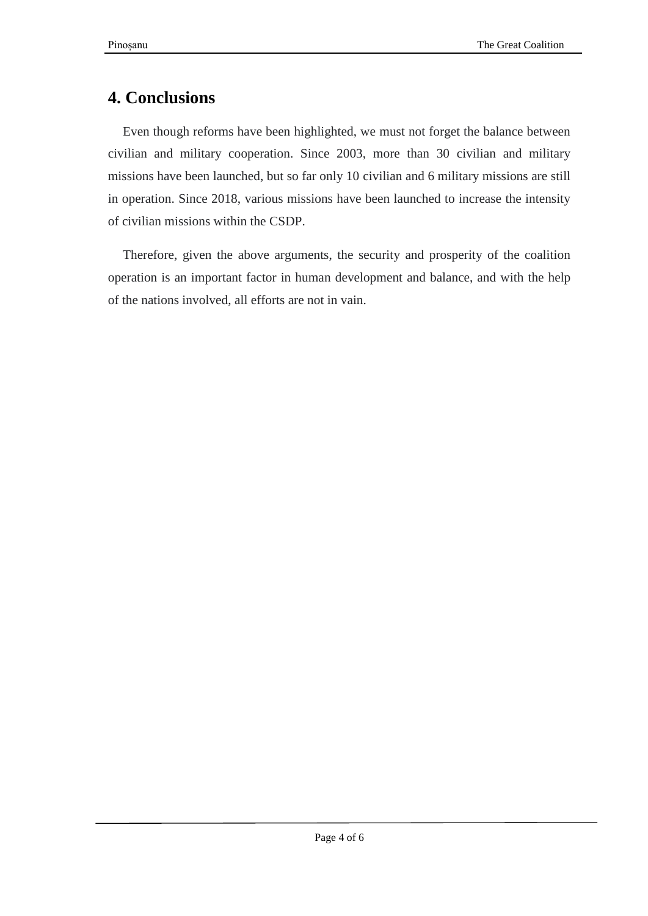## **4. Conclusions**

Even though reforms have been highlighted, we must not forget the balance between civilian and military cooperation. Since 2003, more than 30 civilian and military missions have been launched, but so far only 10 civilian and 6 military missions are still in operation. Since 2018, various missions have been launched to increase the intensity of civilian missions within the CSDP.

Therefore, given the above arguments, the security and prosperity of the coalition operation is an important factor in human development and balance, and with the help of the nations involved, all efforts are not in vain.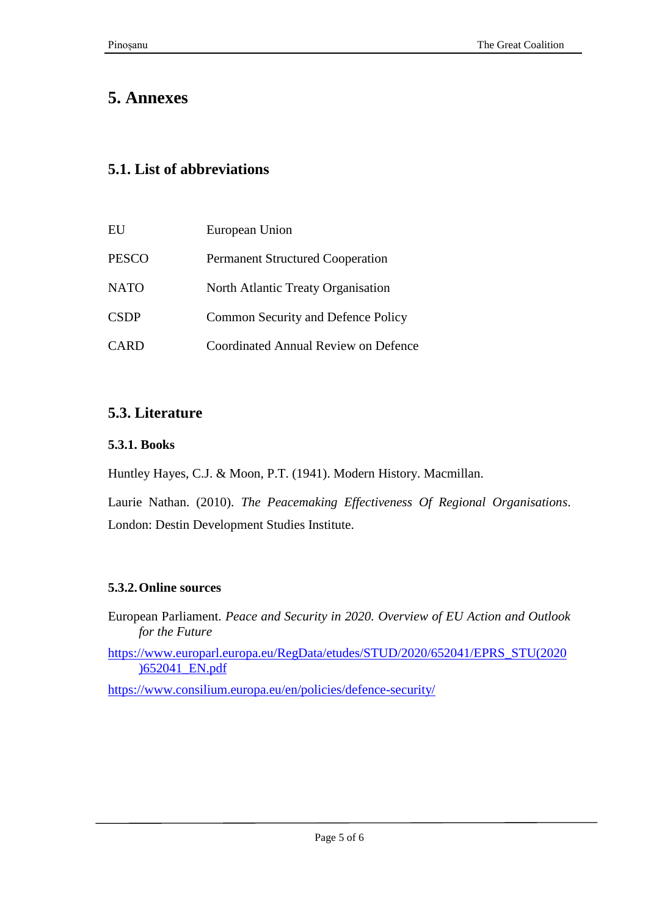## **5. Annexes**

### **5.1. List of abbreviations**

| EU           | European Union                              |
|--------------|---------------------------------------------|
| <b>PESCO</b> | <b>Permanent Structured Cooperation</b>     |
| <b>NATO</b>  | North Atlantic Treaty Organisation          |
| <b>CSDP</b>  | Common Security and Defence Policy          |
| <b>CARD</b>  | <b>Coordinated Annual Review on Defence</b> |

## **5.3. Literature**

#### **5.3.1. Books**

Huntley Hayes, C.J. & Moon, P.T. (1941). Modern History. Macmillan.

Laurie Nathan. (2010). *The Peacemaking Effectiveness Of Regional Organisations*. London: Destin Development Studies Institute.

#### **5.3.2.Online sources**

European Parliament. *Peace and Security in 2020. Overview of EU Action and Outlook for the Future*

[https://www.europarl.europa.eu/RegData/etudes/STUD/2020/652041/EPRS\\_STU\(2020](https://www.europarl.europa.eu/RegData/etudes/STUD/2020/652041/EPRS_STU(2020)652041_EN.pdf) [\)652041\\_EN.pdf](https://www.europarl.europa.eu/RegData/etudes/STUD/2020/652041/EPRS_STU(2020)652041_EN.pdf)

<https://www.consilium.europa.eu/en/policies/defence-security/>